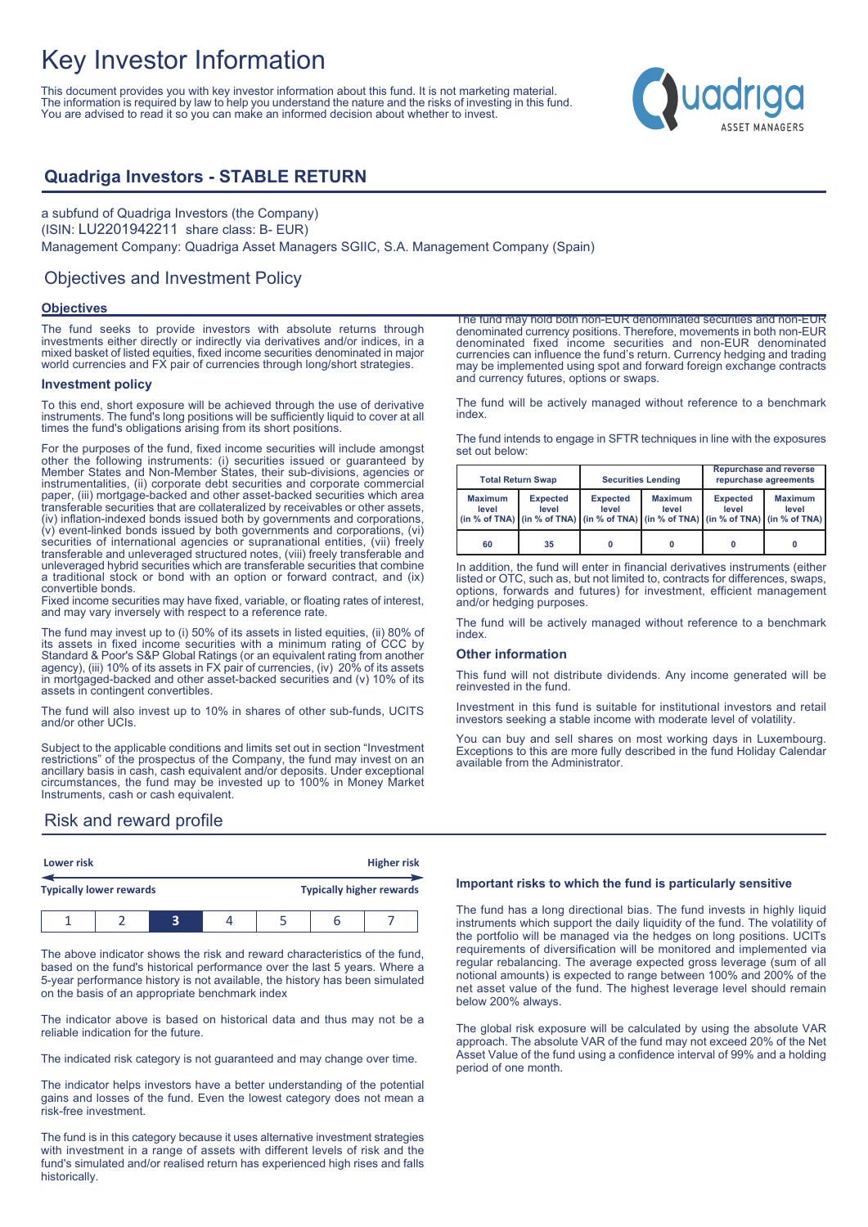# Key Investor Information

This document provides you with key investor information about this fund. It is not marketing material. The information is required by law to help you understand the nature and the risks of investing in this fund. You are advised to read it so you can make an informed decision about whether to invest.



### **Quadriga Investors - STABLE RETURN**

a subfund of Quadriga Investors (the Company) (ISIN: LU2201942211 share class: B- EUR) Management Company: Quadriga Asset Managers SGIIC, S.A. Management Company (Spain)

### Objectives and Investment Policy

### **Objectives**

The fund seeks to provide investors with absolute returns through investments either directly or indirectly via derivatives and/or indices, in a mixed basket of listed equities, fixed income securities denominated in major world currencies and FX pair of currencies through long/short strategies.

#### **Investment policy**

To this end, short exposure will be achieved through the use of derivative instruments. The fund's long positions will be sufficiently liquid to cover at all times the fund's obligations arising from its short positions.

For the purposes of the fund, fixed income securities will include amongst other the following instruments: (i) securities issued or guaranteed by Member States and Non-Member States, their sub-divisions, agencies or instrumentalities, (ii) corporate debt securities and corporate commercial paper, (iii) mortgage-backed and other asset-backed securities which area transferable securities that are collateralized by receivables or other assets, (iv) inflation-indexed bonds issued both by governments and corporations, (v) event-linked bonds issued by both governments and corporations, (vi) securities of international agencies or supranational entities, (vii) freely transferable and unleveraged structured notes, (viii) freely transferable and unleveraged hybrid securities which are transferable securities that combine a traditional stock or bond with an option or forward contract, and (ix) convertible bonds.

Fixed income securities may have fixed, variable, or floating rates of interest, and may vary inversely with respect to a reference rate.

The fund may invest up to (i) 50% of its assets in listed equities, (ii) 80% of its assets in fixed income securities with a minimum rating of CCC by Standard & Poor's S&P Global Ratings (or an equivalent rating from another agency), (iii) 10% of its assets in FX pair of currencies, (iv) 20% of its assets in mortgaged-backed and other asset-backed securities and  $(v)$  10% of its assets in contingent convertibles.

The fund will also invest up to 10% in shares of other sub-funds, UCITS and/or other UCIs.

Subject to the applicable conditions and limits set out in section "Investment restrictions" of the prospectus of the Company, the fund may invest on an ancillary basis in cash, cash equivalent and/or deposits. Under exceptional circumstances, the fund may be invested up to 100% in Money Market Instruments, cash or cash equivalent.

Risk and reward profile

|                                | Lower risk |  |  | <b>Higher risk</b> |  |                                 |  |  |
|--------------------------------|------------|--|--|--------------------|--|---------------------------------|--|--|
| <b>Typically lower rewards</b> |            |  |  |                    |  | <b>Typically higher rewards</b> |  |  |
|                                |            |  |  |                    |  |                                 |  |  |

The above indicator shows the risk and reward characteristics of the fund, based on the fund's historical performance over the last 5 years. Where a 5-year performance history is not available, the history has been simulated on the basis of an appropriate benchmark index

The indicator above is based on historical data and thus may not be a reliable indication for the future.

The indicated risk category is not guaranteed and may change over time.

The indicator helps investors have a better understanding of the potential gains and losses of the fund. Even the lowest category does not mean a risk-free investment.

The fund is in this category because it uses alternative investment strategies with investment in a range of assets with different levels of risk and the fund's simulated and/or realised return has experienced high rises and falls historically.

The fund may hold both non-EUR denominated securities and non-EUR denominated currency positions. Therefore, movements in both non-EUR denominated fixed income securities and non-EUR denominated currencies can influence the fund's return. Currency hedging and trading may be implemented using spot and forward foreign exchange contracts and currency futures, options or swaps.

The fund will be actively managed without reference to a benchmark index.

The fund intends to engage in SFTR techniques in line with the exposures set out below:

|                                                                                                                                                                                            | <b>Total Return Swap</b> |                          | <b>Securities Lending</b> | <b>Repurchase and reverse</b><br>repurchase agreements |                         |
|--------------------------------------------------------------------------------------------------------------------------------------------------------------------------------------------|--------------------------|--------------------------|---------------------------|--------------------------------------------------------|-------------------------|
| <b>Maximum</b><br><b>Expected</b><br>level<br>level<br>(in % of TNA) $\vert$ (in % of TNA) $\vert$ (in % of TNA) $\vert$ (in % of TNA) $\vert$ (in % of TNA) $\vert$ (in % of TNA) $\vert$ |                          | <b>Expected</b><br>level | <b>Maximum</b><br>level   | <b>Expected</b><br>level                               | <b>Maximum</b><br>level |
| 60                                                                                                                                                                                         | 35                       |                          |                           |                                                        | 0                       |

In addition, the fund will enter in financial derivatives instruments (either listed or OTC, such as, but not limited to, contracts for differences, swaps, options, forwards and futures) for investment, efficient management and/or hedging purposes.

The fund will be actively managed without reference to a benchmark index.

#### **Other information**

This fund will not distribute dividends. Any income generated will be reinvested in the fund.

Investment in this fund is suitable for institutional investors and retail investors seeking a stable income with moderate level of volatility.

You can buy and sell shares on most working days in Luxembourg. Exceptions to this are more fully described in the fund Holiday Calendar available from the Administrator.

### **Important risks to which the fund is particularly sensitive**

The fund has a long directional bias. The fund invests in highly liquid instruments which support the daily liquidity of the fund. The volatility of the portfolio will be managed via the hedges on long positions. UCITs requirements of diversification will be monitored and implemented via regular rebalancing. The average expected gross leverage (sum of all notional amounts) is expected to range between 100% and 200% of the net asset value of the fund. The highest leverage level should remain below 200% always.

The global risk exposure will be calculated by using the absolute VAR approach. The absolute VAR of the fund may not exceed 20% of the Net Asset Value of the fund using a confidence interval of 99% and a holding period of one month.